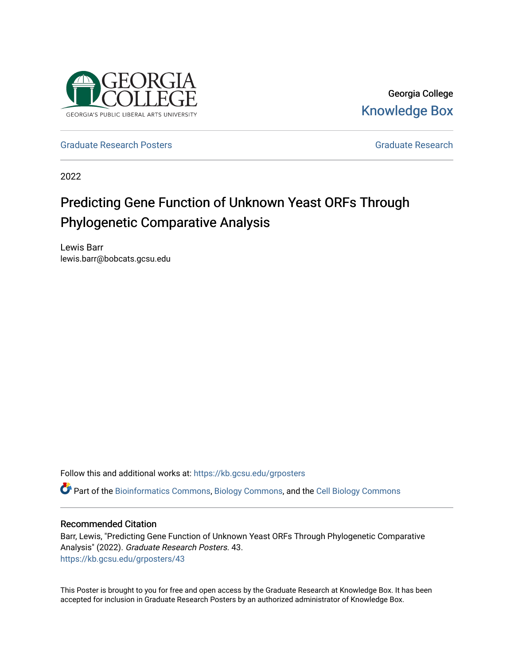

Georgia College [Knowledge Box](https://kb.gcsu.edu/) 

[Graduate Research Posters](https://kb.gcsu.edu/grposters) [Graduate Research](https://kb.gcsu.edu/gr) Crosses Graduate Research

2022

### Predicting Gene Function of Unknown Yeast ORFs Through Phylogenetic Comparative Analysis

Lewis Barr lewis.barr@bobcats.gcsu.edu

Follow this and additional works at: [https://kb.gcsu.edu/grposters](https://kb.gcsu.edu/grposters?utm_source=kb.gcsu.edu%2Fgrposters%2F43&utm_medium=PDF&utm_campaign=PDFCoverPages) 

Part of the [Bioinformatics Commons,](http://network.bepress.com/hgg/discipline/110?utm_source=kb.gcsu.edu%2Fgrposters%2F43&utm_medium=PDF&utm_campaign=PDFCoverPages) [Biology Commons,](http://network.bepress.com/hgg/discipline/41?utm_source=kb.gcsu.edu%2Fgrposters%2F43&utm_medium=PDF&utm_campaign=PDFCoverPages) and the [Cell Biology Commons](http://network.bepress.com/hgg/discipline/10?utm_source=kb.gcsu.edu%2Fgrposters%2F43&utm_medium=PDF&utm_campaign=PDFCoverPages)

#### Recommended Citation

Barr, Lewis, "Predicting Gene Function of Unknown Yeast ORFs Through Phylogenetic Comparative Analysis" (2022). Graduate Research Posters. 43. [https://kb.gcsu.edu/grposters/43](https://kb.gcsu.edu/grposters/43?utm_source=kb.gcsu.edu%2Fgrposters%2F43&utm_medium=PDF&utm_campaign=PDFCoverPages)

This Poster is brought to you for free and open access by the Graduate Research at Knowledge Box. It has been accepted for inclusion in Graduate Research Posters by an authorized administrator of Knowledge Box.